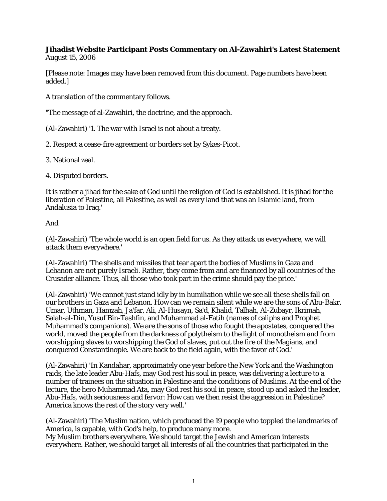## **Jihadist Website Participant Posts Commentary on Al-Zawahiri's Latest Statement** August 15, 2006

[Please note: Images may have been removed from this document. Page numbers have been added.]

A translation of the commentary follows.

"The message of al-Zawahiri, the doctrine, and the approach.

(Al-Zawahiri) '1. The war with Israel is not about a treaty.

2. Respect a cease-fire agreement or borders set by Sykes-Picot.

3. National zeal.

4. Disputed borders.

It is rather a jihad for the sake of God until the religion of God is established. It is jihad for the liberation of Palestine, all Palestine, as well as every land that was an Islamic land, from Andalusia to Iraq.'

And

(Al-Zawahiri) 'The whole world is an open field for us. As they attack us everywhere, we will attack them everywhere.'

(Al-Zawahiri) 'The shells and missiles that tear apart the bodies of Muslims in Gaza and Lebanon are not purely Israeli. Rather, they come from and are financed by all countries of the Crusader alliance. Thus, all those who took part in the crime should pay the price.'

(Al-Zawahiri) 'We cannot just stand idly by in humiliation while we see all these shells fall on our brothers in Gaza and Lebanon. How can we remain silent while we are the sons of Abu-Bakr, Umar, Uthman, Hamzah, Ja'far, Ali, Al-Husayn, Sa'd, Khalid, Talhah, Al-Zubayr, Ikrimah, Salah-al-Din, Yusuf Bin-Tashfin, and Muhammad al-Fatih (names of caliphs and Prophet Muhammad's companions). We are the sons of those who fought the apostates, conquered the world, moved the people from the darkness of polytheism to the light of monotheism and from worshipping slaves to worshipping the God of slaves, put out the fire of the Magians, and conquered Constantinople. We are back to the field again, with the favor of God.'

(Al-Zawahiri) 'In Kandahar, approximately one year before the New York and the Washington raids, the late leader Abu-Hafs, may God rest his soul in peace, was delivering a lecture to a number of trainees on the situation in Palestine and the conditions of Muslims. At the end of the lecture, the hero Muhammad Ata, may God rest his soul in peace, stood up and asked the leader, Abu-Hafs, with seriousness and fervor: How can we then resist the aggression in Palestine? America knows the rest of the story very well.'

(Al-Zawahiri) 'The Muslim nation, which produced the 19 people who toppled the landmarks of America, is capable, with God's help, to produce many more. My Muslim brothers everywhere. We should target the Jewish and American interests everywhere. Rather, we should target all interests of all the countries that participated in the